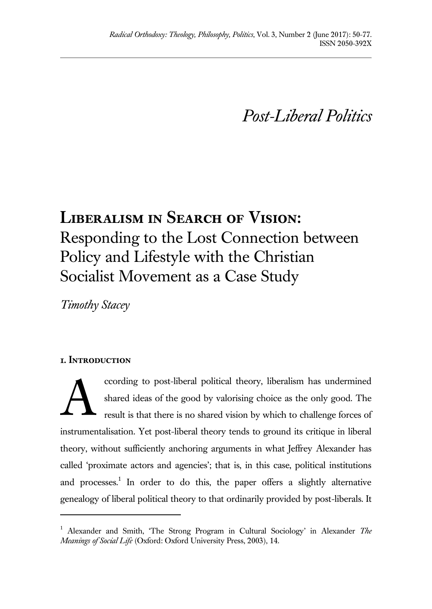*Post-Liberal Politics*

# **Liberalism in Search of Vision:**  Responding to the Lost Connection between Policy and Lifestyle with the Christian Socialist Movement as a Case Study

*Timothy Stacey*

## **1. Introduction**

l

ccording to post-liberal political theory, liberalism has undermined shared ideas of the good by valorising choice as the only good. The result is that there is no shared vision by which to challenge forces of instrumentalisation. Yet post-liberal theory tends to ground its critique in liberal theory, without sufficiently anchoring arguments in what Jeffrey Alexander has called 'proximate actors and agencies'; that is, in this case, political institutions and processes.<sup>1</sup> In order to do this, the paper offers a slightly alternative genealogy of liberal political theory to that ordinarily provided by post-liberals. It A

<sup>1</sup> Alexander and Smith, 'The Strong Program in Cultural Sociology' in Alexander *The Meanings of Social Life* (Oxford: Oxford University Press, 2003), 14.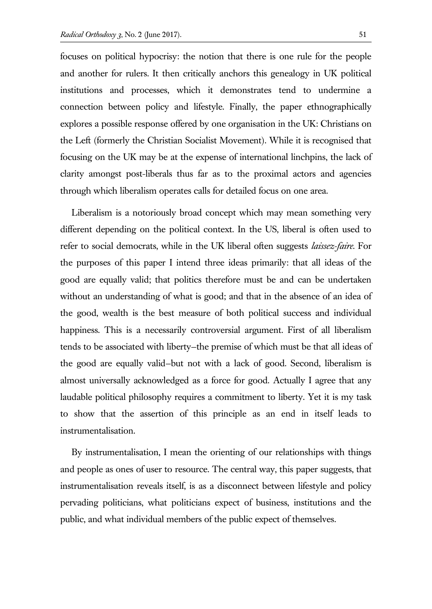focuses on political hypocrisy: the notion that there is one rule for the people and another for rulers. It then critically anchors this genealogy in UK political institutions and processes, which it demonstrates tend to undermine a connection between policy and lifestyle. Finally, the paper ethnographically explores a possible response offered by one organisation in the UK: Christians on the Left (formerly the Christian Socialist Movement). While it is recognised that focusing on the UK may be at the expense of international linchpins, the lack of clarity amongst post-liberals thus far as to the proximal actors and agencies through which liberalism operates calls for detailed focus on one area.

Liberalism is a notoriously broad concept which may mean something very different depending on the political context. In the US, liberal is often used to refer to social democrats, while in the UK liberal often suggests *laissez-faire*. For the purposes of this paper I intend three ideas primarily: that all ideas of the good are equally valid; that politics therefore must be and can be undertaken without an understanding of what is good; and that in the absence of an idea of the good, wealth is the best measure of both political success and individual happiness. This is a necessarily controversial argument. First of all liberalism tends to be associated with liberty—the premise of which must be that all ideas of the good are equally valid—but not with a lack of good. Second, liberalism is almost universally acknowledged as a force for good. Actually I agree that any laudable political philosophy requires a commitment to liberty. Yet it is my task to show that the assertion of this principle as an end in itself leads to instrumentalisation.

By instrumentalisation, I mean the orienting of our relationships with things and people as ones of user to resource. The central way, this paper suggests, that instrumentalisation reveals itself, is as a disconnect between lifestyle and policy pervading politicians, what politicians expect of business, institutions and the public, and what individual members of the public expect of themselves.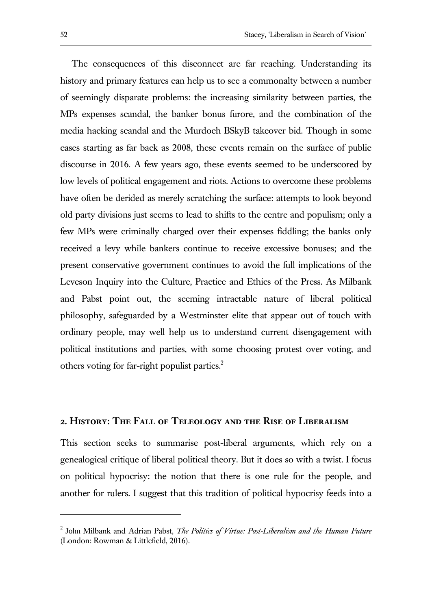The consequences of this disconnect are far reaching. Understanding its history and primary features can help us to see a commonalty between a number of seemingly disparate problems: the increasing similarity between parties, the MPs expenses scandal, the banker bonus furore, and the combination of the media hacking scandal and the Murdoch BSkyB takeover bid. Though in some cases starting as far back as 2008, these events remain on the surface of public discourse in 2016. A few years ago, these events seemed to be underscored by low levels of political engagement and riots. Actions to overcome these problems have often be derided as merely scratching the surface: attempts to look beyond old party divisions just seems to lead to shifts to the centre and populism; only a few MPs were criminally charged over their expenses fiddling; the banks only received a levy while bankers continue to receive excessive bonuses; and the present conservative government continues to avoid the full implications of the Leveson Inquiry into the Culture, Practice and Ethics of the Press. As Milbank and Pabst point out, the seeming intractable nature of liberal political philosophy, safeguarded by a Westminster elite that appear out of touch with ordinary people, may well help us to understand current disengagement with political institutions and parties, with some choosing protest over voting, and others voting for far-right populist parties.<sup>2</sup>

#### **2. History: The Fall of Teleology and the Rise of Liberalism**

This section seeks to summarise post-liberal arguments, which rely on a genealogical critique of liberal political theory. But it does so with a twist. I focus on political hypocrisy: the notion that there is one rule for the people, and another for rulers. I suggest that this tradition of political hypocrisy feeds into a

<sup>2</sup> John Milbank and Adrian Pabst, *The Politics of Virtue: Post-Liberalism and the Human Future* (London: Rowman & Littlefield, 2016).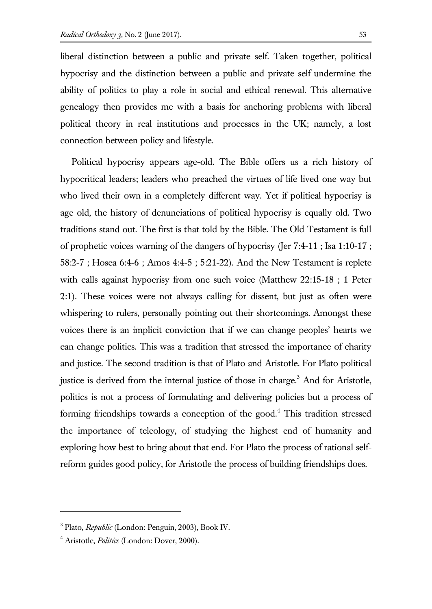liberal distinction between a public and private self. Taken together, political hypocrisy and the distinction between a public and private self undermine the ability of politics to play a role in social and ethical renewal. This alternative genealogy then provides me with a basis for anchoring problems with liberal political theory in real institutions and processes in the UK; namely, a lost connection between policy and lifestyle.

Political hypocrisy appears age-old. The Bible offers us a rich history of hypocritical leaders; leaders who preached the virtues of life lived one way but who lived their own in a completely different way. Yet if political hypocrisy is age old, the history of denunciations of political hypocrisy is equally old. Two traditions stand out. The first is that told by the Bible. The Old Testament is full of prophetic voices warning of the dangers of hypocrisy (Jer 7:4-11 ; Isa 1:10-17 ; 58:2-7 ; Hosea 6:4-6 ; Amos 4:4-5 ; 5:21-22). And the New Testament is replete with calls against hypocrisy from one such voice (Matthew 22:15-18 ; 1 Peter 2:1). These voices were not always calling for dissent, but just as often were whispering to rulers, personally pointing out their shortcomings. Amongst these voices there is an implicit conviction that if we can change peoples' hearts we can change politics. This was a tradition that stressed the importance of charity and justice. The second tradition is that of Plato and Aristotle. For Plato political justice is derived from the internal justice of those in charge.<sup>3</sup> And for Aristotle, politics is not a process of formulating and delivering policies but a process of forming friendships towards a conception of the good.<sup>4</sup> This tradition stressed the importance of teleology, of studying the highest end of humanity and exploring how best to bring about that end. For Plato the process of rational selfreform guides good policy, for Aristotle the process of building friendships does.

<sup>3</sup> Plato, *Republic* (London: Penguin, 2003), Book IV.

<sup>4</sup> Aristotle, *Politics* (London: Dover, 2000).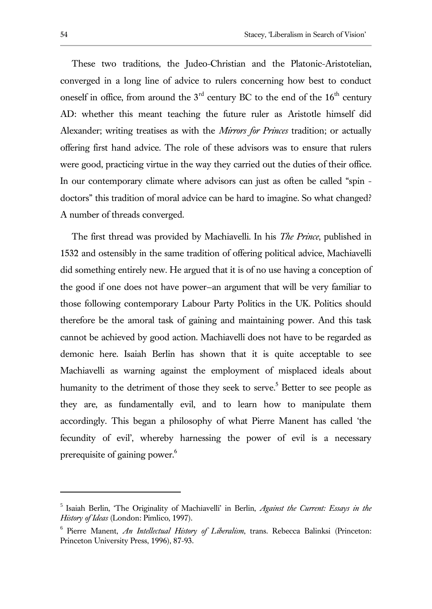These two traditions, the Judeo-Christian and the Platonic-Aristotelian, converged in a long line of advice to rulers concerning how best to conduct oneself in office, from around the  $3<sup>rd</sup>$  century BC to the end of the  $16<sup>th</sup>$  century AD: whether this meant teaching the future ruler as Aristotle himself did Alexander; writing treatises as with the *Mirrors for Princes* tradition; or actually offering first hand advice. The role of these advisors was to ensure that rulers were good, practicing virtue in the way they carried out the duties of their office. In our contemporary climate where advisors can just as often be called "spin doctors" this tradition of moral advice can be hard to imagine. So what changed? A number of threads converged.

The first thread was provided by Machiavelli. In his *The Prince*, published in 1532 and ostensibly in the same tradition of offering political advice, Machiavelli did something entirely new. He argued that it is of no use having a conception of the good if one does not have power—an argument that will be very familiar to those following contemporary Labour Party Politics in the UK. Politics should therefore be the amoral task of gaining and maintaining power. And this task cannot be achieved by good action. Machiavelli does not have to be regarded as demonic here. Isaiah Berlin has shown that it is quite acceptable to see Machiavelli as warning against the employment of misplaced ideals about humanity to the detriment of those they seek to serve.<sup>5</sup> Better to see people as they are, as fundamentally evil, and to learn how to manipulate them accordingly. This began a philosophy of what Pierre Manent has called 'the fecundity of evil', whereby harnessing the power of evil is a necessary prerequisite of gaining power.<sup>6</sup>

<sup>5</sup> Isaiah Berlin, 'The Originality of Machiavelli' in Berlin, *Against the Current: Essays in the History of Ideas* (London: Pimlico, 1997).

<sup>6</sup> Pierre Manent, *An Intellectual History of Liberalism*, trans. Rebecca Balinksi (Princeton: Princeton University Press, 1996), 87-93.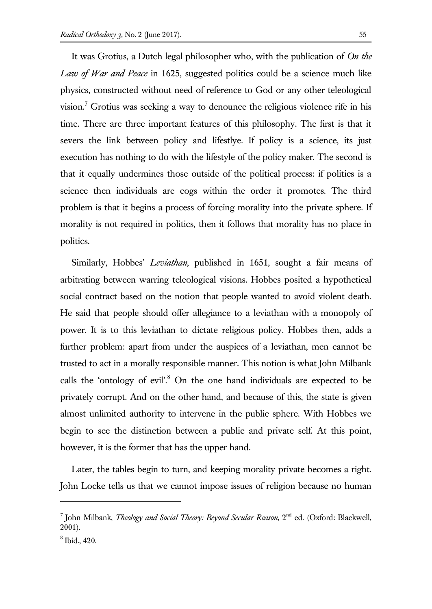It was Grotius, a Dutch legal philosopher who, with the publication of *On the Law of War and Peace* in 1625, suggested politics could be a science much like physics, constructed without need of reference to God or any other teleological vision.<sup>7</sup> Grotius was seeking a way to denounce the religious violence rife in his time. There are three important features of this philosophy. The first is that it severs the link between policy and lifestlye. If policy is a science, its just execution has nothing to do with the lifestyle of the policy maker. The second is that it equally undermines those outside of the political process: if politics is a science then individuals are cogs within the order it promotes. The third problem is that it begins a process of forcing morality into the private sphere. If morality is not required in politics, then it follows that morality has no place in politics.

Similarly, Hobbes' *Leviathan*, published in 1651, sought a fair means of arbitrating between warring teleological visions. Hobbes posited a hypothetical social contract based on the notion that people wanted to avoid violent death. He said that people should offer allegiance to a leviathan with a monopoly of power. It is to this leviathan to dictate religious policy. Hobbes then, adds a further problem: apart from under the auspices of a leviathan, men cannot be trusted to act in a morally responsible manner. This notion is what John Milbank calls the 'ontology of evil'.<sup>8</sup> On the one hand individuals are expected to be privately corrupt. And on the other hand, and because of this, the state is given almost unlimited authority to intervene in the public sphere. With Hobbes we begin to see the distinction between a public and private self. At this point, however, it is the former that has the upper hand.

Later, the tables begin to turn, and keeping morality private becomes a right. John Locke tells us that we cannot impose issues of religion because no human

<sup>&</sup>lt;sup>7</sup> John Milbank, *Theology and Social Theory: Beyond Secular Reason*, 2<sup>nd</sup> ed. (Oxford: Blackwell, 2001).

<sup>8</sup> Ibid., 420.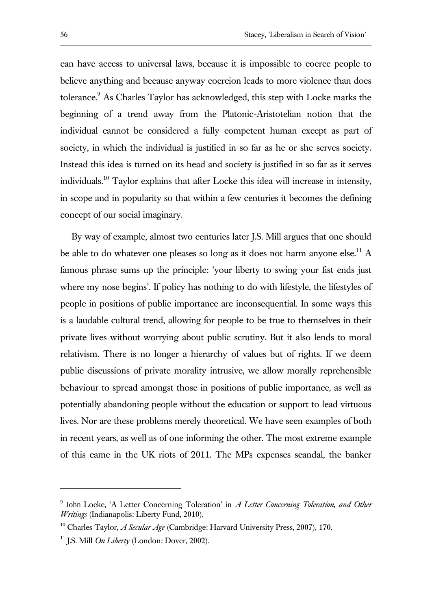can have access to universal laws, because it is impossible to coerce people to believe anything and because anyway coercion leads to more violence than does tolerance.<sup>9</sup> As Charles Taylor has acknowledged, this step with Locke marks the beginning of a trend away from the Platonic-Aristotelian notion that the individual cannot be considered a fully competent human except as part of society, in which the individual is justified in so far as he or she serves society. Instead this idea is turned on its head and society is justified in so far as it serves individuals.<sup>10</sup> Taylor explains that after Locke this idea will increase in intensity, in scope and in popularity so that within a few centuries it becomes the defining concept of our social imaginary.

By way of example, almost two centuries later J.S. Mill argues that one should be able to do whatever one pleases so long as it does not harm anyone else.<sup>11</sup> A famous phrase sums up the principle: 'your liberty to swing your fist ends just where my nose begins'. If policy has nothing to do with lifestyle, the lifestyles of people in positions of public importance are inconsequential. In some ways this is a laudable cultural trend, allowing for people to be true to themselves in their private lives without worrying about public scrutiny. But it also lends to moral relativism. There is no longer a hierarchy of values but of rights. If we deem public discussions of private morality intrusive, we allow morally reprehensible behaviour to spread amongst those in positions of public importance, as well as potentially abandoning people without the education or support to lead virtuous lives. Nor are these problems merely theoretical. We have seen examples of both in recent years, as well as of one informing the other. The most extreme example of this came in the UK riots of 2011. The MPs expenses scandal, the banker

<sup>9</sup> John Locke, 'A Letter Concerning Toleration' in *A Letter Concerning Toleration*, *and Other Writings* (Indianapolis: Liberty Fund, 2010).

<sup>10</sup> Charles Taylor, *A Secular Age* (Cambridge: Harvard University Press, 2007), 170.

<sup>11</sup> J.S. Mill *On Liberty* (London: Dover, 2002).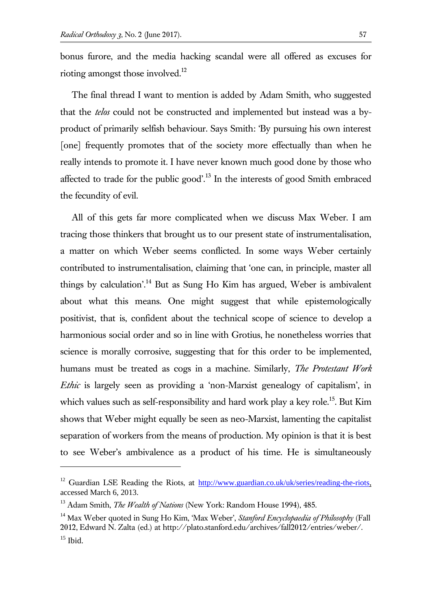bonus furore, and the media hacking scandal were all offered as excuses for rioting amongst those involved.<sup>12</sup>

The final thread I want to mention is added by Adam Smith, who suggested that the *telos* could not be constructed and implemented but instead was a byproduct of primarily selfish behaviour. Says Smith: 'By pursuing his own interest [one] frequently promotes that of the society more effectually than when he really intends to promote it. I have never known much good done by those who affected to trade for the public good'.<sup>13</sup> In the interests of good Smith embraced the fecundity of evil.

All of this gets far more complicated when we discuss Max Weber. I am tracing those thinkers that brought us to our present state of instrumentalisation, a matter on which Weber seems conflicted. In some ways Weber certainly contributed to instrumentalisation, claiming that 'one can, in principle, master all things by calculation'.<sup>14</sup> But as Sung Ho Kim has argued, Weber is ambivalent about what this means. One might suggest that while epistemologically positivist, that is, confident about the technical scope of science to develop a harmonious social order and so in line with Grotius, he nonetheless worries that science is morally corrosive, suggesting that for this order to be implemented, humans must be treated as cogs in a machine. Similarly, *The Protestant Work Ethic* is largely seen as providing a 'non-Marxist genealogy of capitalism', in which values such as self-responsibility and hard work play a key role.<sup>15</sup>. But Kim shows that Weber might equally be seen as neo-Marxist, lamenting the capitalist separation of workers from the means of production. My opinion is that it is best to see Weber's ambivalence as a product of his time. He is simultaneously

<sup>&</sup>lt;sup>12</sup> Guardian LSE Reading the Riots, at [http://www.guardian.co.uk/uk/series/reading-the-riots,](http://www.guardian.co.uk/uk/series/reading-the-riots) accessed March 6, 2013.

<sup>13</sup> Adam Smith, *The Wealth of Nations* (New York: Random House 1994), 485.

<sup>14</sup> Max Weber quoted in Sung Ho Kim, 'Max Weber', *Stanford Encyclopaedia of Philosophy* (Fall 2012, Edward N. Zalta (ed.) at http://plato.stanford.edu/archives/fall2012/entries/weber/.  $15$  Ibid.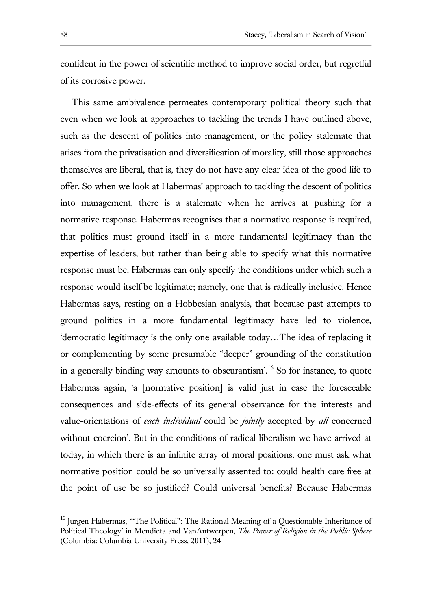confident in the power of scientific method to improve social order, but regretful of its corrosive power.

This same ambivalence permeates contemporary political theory such that even when we look at approaches to tackling the trends I have outlined above, such as the descent of politics into management, or the policy stalemate that arises from the privatisation and diversification of morality, still those approaches themselves are liberal, that is, they do not have any clear idea of the good life to offer. So when we look at Habermas' approach to tackling the descent of politics into management, there is a stalemate when he arrives at pushing for a normative response. Habermas recognises that a normative response is required, that politics must ground itself in a more fundamental legitimacy than the expertise of leaders, but rather than being able to specify what this normative response must be, Habermas can only specify the conditions under which such a response would itself be legitimate; namely, one that is radically inclusive. Hence Habermas says, resting on a Hobbesian analysis, that because past attempts to ground politics in a more fundamental legitimacy have led to violence, 'democratic legitimacy is the only one available today…The idea of replacing it or complementing by some presumable "deeper" grounding of the constitution in a generally binding way amounts to obscurantism<sup>'.16</sup> So for instance, to quote Habermas again, 'a [normative position] is valid just in case the foreseeable consequences and side-effects of its general observance for the interests and value-orientations of *each individual* could be *jointly* accepted by *all* concerned without coercion'. But in the conditions of radical liberalism we have arrived at today, in which there is an infinite array of moral positions, one must ask what normative position could be so universally assented to: could health care free at the point of use be so justified? Could universal benefits? Because Habermas

<sup>&</sup>lt;sup>16</sup> Jurgen Habermas, "The Political": The Rational Meaning of a Questionable Inheritance of Political Theology' in Mendieta and VanAntwerpen, *The Power of Religion in the Public Sphere* (Columbia: Columbia University Press, 2011), 24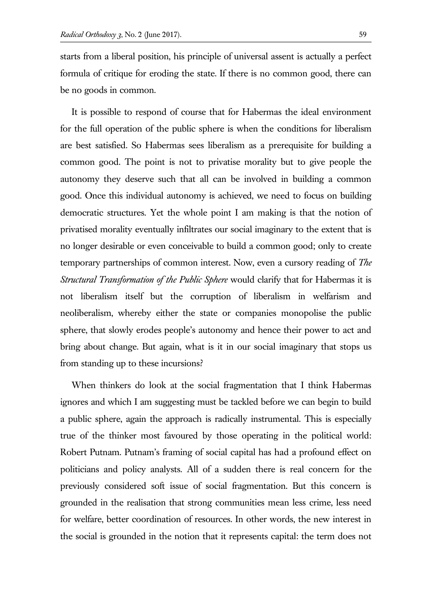starts from a liberal position, his principle of universal assent is actually a perfect formula of critique for eroding the state. If there is no common good, there can be no goods in common.

It is possible to respond of course that for Habermas the ideal environment for the full operation of the public sphere is when the conditions for liberalism are best satisfied. So Habermas sees liberalism as a prerequisite for building a common good. The point is not to privatise morality but to give people the autonomy they deserve such that all can be involved in building a common good. Once this individual autonomy is achieved, we need to focus on building democratic structures. Yet the whole point I am making is that the notion of privatised morality eventually infiltrates our social imaginary to the extent that is no longer desirable or even conceivable to build a common good; only to create temporary partnerships of common interest. Now, even a cursory reading of *The Structural Transformation of the Public Sphere* would clarify that for Habermas it is not liberalism itself but the corruption of liberalism in welfarism and neoliberalism, whereby either the state or companies monopolise the public sphere, that slowly erodes people's autonomy and hence their power to act and bring about change. But again, what is it in our social imaginary that stops us from standing up to these incursions?

When thinkers do look at the social fragmentation that I think Habermas ignores and which I am suggesting must be tackled before we can begin to build a public sphere, again the approach is radically instrumental. This is especially true of the thinker most favoured by those operating in the political world: Robert Putnam. Putnam's framing of social capital has had a profound effect on politicians and policy analysts. All of a sudden there is real concern for the previously considered soft issue of social fragmentation. But this concern is grounded in the realisation that strong communities mean less crime, less need for welfare, better coordination of resources. In other words, the new interest in the social is grounded in the notion that it represents capital: the term does not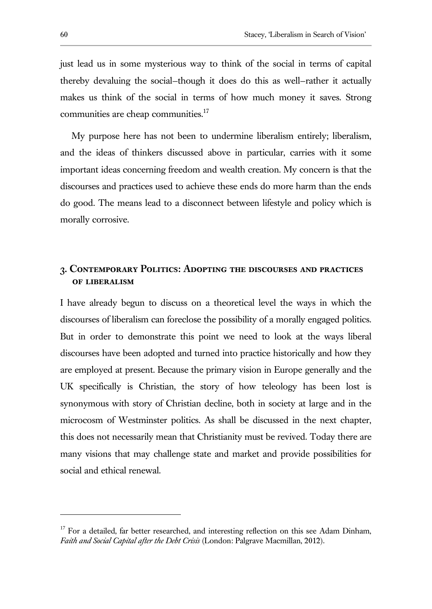just lead us in some mysterious way to think of the social in terms of capital thereby devaluing the social—though it does do this as well—rather it actually makes us think of the social in terms of how much money it saves. Strong communities are cheap communities.<sup>17</sup>

My purpose here has not been to undermine liberalism entirely; liberalism, and the ideas of thinkers discussed above in particular, carries with it some important ideas concerning freedom and wealth creation. My concern is that the discourses and practices used to achieve these ends do more harm than the ends do good. The means lead to a disconnect between lifestyle and policy which is morally corrosive.

## **3. Contemporary Politics: Adopting the discourses and practices of liberalism**

I have already begun to discuss on a theoretical level the ways in which the discourses of liberalism can foreclose the possibility of a morally engaged politics. But in order to demonstrate this point we need to look at the ways liberal discourses have been adopted and turned into practice historically and how they are employed at present. Because the primary vision in Europe generally and the UK specifically is Christian, the story of how teleology has been lost is synonymous with story of Christian decline, both in society at large and in the microcosm of Westminster politics. As shall be discussed in the next chapter, this does not necessarily mean that Christianity must be revived. Today there are many visions that may challenge state and market and provide possibilities for social and ethical renewal.

 $17$  For a detailed, far better researched, and interesting reflection on this see Adam Dinham, *Faith and Social Capital after the Debt Crisis* (London: Palgrave Macmillan, 2012).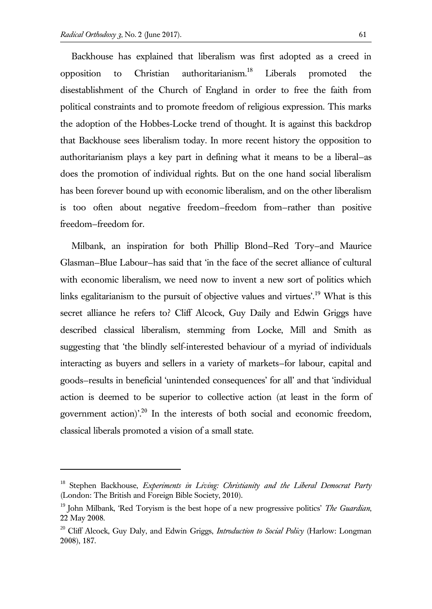$\overline{a}$ 

Backhouse has explained that liberalism was first adopted as a creed in opposition to Christian authoritarianism.<sup>18</sup> Liberals promoted the disestablishment of the Church of England in order to free the faith from political constraints and to promote freedom of religious expression. This marks the adoption of the Hobbes-Locke trend of thought. It is against this backdrop that Backhouse sees liberalism today. In more recent history the opposition to authoritarianism plays a key part in defining what it means to be a liberal—as does the promotion of individual rights. But on the one hand social liberalism has been forever bound up with economic liberalism, and on the other liberalism is too often about negative freedom—freedom from—rather than positive freedom—freedom for.

Milbank, an inspiration for both Phillip Blond—Red Tory—and Maurice Glasman—Blue Labour—has said that 'in the face of the secret alliance of cultural with economic liberalism, we need now to invent a new sort of politics which links egalitarianism to the pursuit of objective values and virtues'.<sup>19</sup> What is this secret alliance he refers to? Cliff Alcock, Guy Daily and Edwin Griggs have described classical liberalism, stemming from Locke, Mill and Smith as suggesting that 'the blindly self-interested behaviour of a myriad of individuals interacting as buyers and sellers in a variety of markets—for labour, capital and goods—results in beneficial 'unintended consequences' for all' and that 'individual action is deemed to be superior to collective action (at least in the form of government action)'.<sup>20</sup> In the interests of both social and economic freedom, classical liberals promoted a vision of a small state.

<sup>18</sup> Stephen Backhouse, *Experiments in Living: Christianity and the Liberal Democrat Party* (London: The British and Foreign Bible Society, 2010).

<sup>19</sup> John Milbank, 'Red Toryism is the best hope of a new progressive politics' *The Guardian*, 22 May 2008.

<sup>20</sup> Cliff Alcock, Guy Daly, and Edwin Griggs, *Introduction to Social Policy* (Harlow: Longman 2008), 187.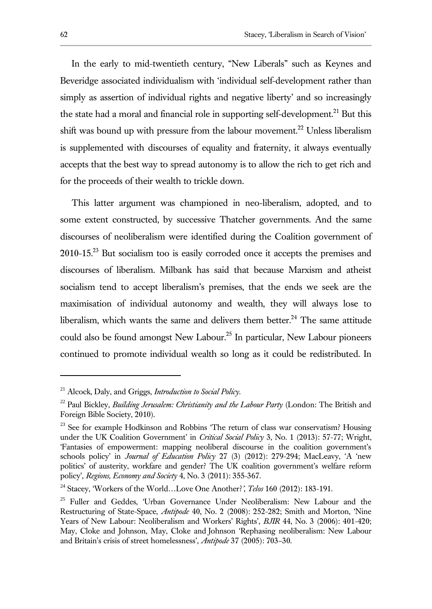In the early to mid-twentieth century, "New Liberals" such as Keynes and Beveridge associated individualism with 'individual self-development rather than simply as assertion of individual rights and negative liberty' and so increasingly the state had a moral and financial role in supporting self-development.<sup>21</sup> But this shift was bound up with pressure from the labour movement.<sup>22</sup> Unless liberalism is supplemented with discourses of equality and fraternity, it always eventually accepts that the best way to spread autonomy is to allow the rich to get rich and for the proceeds of their wealth to trickle down.

This latter argument was championed in neo-liberalism, adopted, and to some extent constructed, by successive Thatcher governments. And the same discourses of neoliberalism were identified during the Coalition government of 2010-15.<sup>23</sup> But socialism too is easily corroded once it accepts the premises and discourses of liberalism. Milbank has said that because Marxism and atheist socialism tend to accept liberalism's premises, that the ends we seek are the maximisation of individual autonomy and wealth, they will always lose to liberalism, which wants the same and delivers them better.<sup>24</sup> The same attitude could also be found amongst New Labour.<sup>25</sup> In particular, New Labour pioneers continued to promote individual wealth so long as it could be redistributed. In

<sup>21</sup> Alcock, Daly, and Griggs, *Introduction to Social Policy*.

<sup>22</sup> Paul Bickley, *Building Jerusalem: Christianity and the Labour Party* (London: The British and Foreign Bible Society, 2010).

<sup>&</sup>lt;sup>23</sup> See for example Hodkinson and Robbins 'The return of class war conservatism? Housing under the UK Coalition Government' in *Critical Social Policy* 3, No. 1 (2013): 57-77; Wright, 'Fantasies of empowerment: mapping neoliberal discourse in the coalition government's schools policy' in *Journal of Education Policy* 27 (3) (2012): 279-294; MacLeavy, 'A 'new politics' of austerity, workfare and gender? The UK coalition government's welfare reform policy', *Regions, Economy and Society* 4, No. 3 (2011): 355-367.

<sup>24</sup> Stacey, 'Workers of the World…Love One Another?*'*, *Telos* 160 (2012): 183-191.

<sup>&</sup>lt;sup>25</sup> Fuller and Geddes, 'Urban Governance Under Neoliberalism: New Labour and the Restructuring of State-Space, *Antipode* 40, No. 2 (2008): 252-282; Smith and Morton, 'Nine Years of New Labour: Neoliberalism and Workers' Rights', *BJIR* 44, No. 3 (2006): 401-420; May, Cloke and Johnson, May, Cloke and Johnson 'Rephasing neoliberalism: New Labour and Britain's crisis of street homelessness', *Antipode* 37 (2005): 703–30.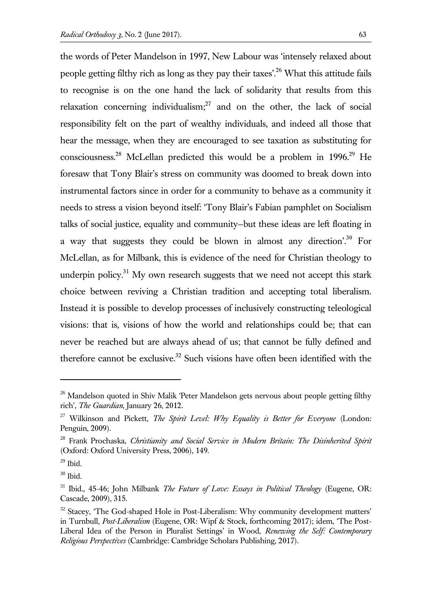the words of Peter Mandelson in 1997, New Labour was 'intensely relaxed about people getting filthy rich as long as they pay their taxes<sup>''</sup>.<sup>26</sup> What this attitude fails to recognise is on the one hand the lack of solidarity that results from this relaxation concerning individualism; $27$  and on the other, the lack of social responsibility felt on the part of wealthy individuals, and indeed all those that hear the message, when they are encouraged to see taxation as substituting for consciousness.<sup>28</sup> McLellan predicted this would be a problem in  $1996$ <sup>29</sup> He foresaw that Tony Blair's stress on community was doomed to break down into instrumental factors since in order for a community to behave as a community it needs to stress a vision beyond itself: 'Tony Blair's Fabian pamphlet on Socialism talks of social justice, equality and community—but these ideas are left floating in a way that suggests they could be blown in almost any direction'.<sup>30</sup> For McLellan, as for Milbank, this is evidence of the need for Christian theology to underpin policy.<sup>31</sup> My own research suggests that we need not accept this stark choice between reviving a Christian tradition and accepting total liberalism. Instead it is possible to develop processes of inclusively constructing teleological visions: that is, visions of how the world and relationships could be; that can never be reached but are always ahead of us; that cannot be fully defined and therefore cannot be exclusive. $32$  Such visions have often been identified with the

<sup>&</sup>lt;sup>26</sup> Mandelson quoted in Shiv Malik 'Peter Mandelson gets nervous about people getting filthy rich', *The Guardian*, January 26, 2012.

<sup>27</sup> Wilkinson and Pickett, *The Spirit Level: Why Equality is Better for Everyone* (London: Penguin, 2009).

<sup>28</sup> Frank Prochaska, *Christianity and Social Service in Modern Britain: The Disinherited Spirit* (Oxford: Oxford University Press, 2006), 149.

 $29$  Ibid.

 $30$  Ibid.

<sup>31</sup> Ibid., 45-46; John Milbank *The Future of Love: Essays in Political Theology* (Eugene, OR: Cascade, 2009), 315.

 $32$  Stacey, 'The God-shaped Hole in Post-Liberalism: Why community development matters' in Turnbull, *Post-Liberalism* (Eugene, OR: Wipf & Stock, forthcoming 2017); idem, 'The Post-Liberal Idea of the Person in Pluralist Settings' in Wood, *Renewing the Self: Contemporary Religious Perspectives* (Cambridge: Cambridge Scholars Publishing, 2017).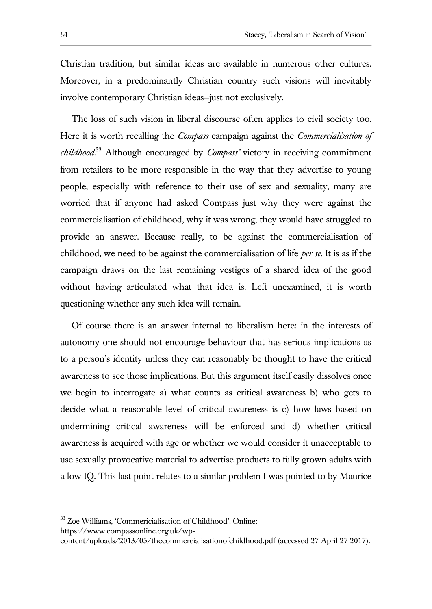Christian tradition, but similar ideas are available in numerous other cultures. Moreover, in a predominantly Christian country such visions will inevitably involve contemporary Christian ideas—just not exclusively.

The loss of such vision in liberal discourse often applies to civil society too. Here it is worth recalling the *Compass* campaign against the *Commercialisation of childhood*. <sup>33</sup> Although encouraged by *Compass'* victory in receiving commitment from retailers to be more responsible in the way that they advertise to young people, especially with reference to their use of sex and sexuality, many are worried that if anyone had asked Compass just why they were against the commercialisation of childhood, why it was wrong, they would have struggled to provide an answer. Because really, to be against the commercialisation of childhood, we need to be against the commercialisation of life *per se*. It is as if the campaign draws on the last remaining vestiges of a shared idea of the good without having articulated what that idea is. Left unexamined, it is worth questioning whether any such idea will remain.

Of course there is an answer internal to liberalism here: in the interests of autonomy one should not encourage behaviour that has serious implications as to a person's identity unless they can reasonably be thought to have the critical awareness to see those implications. But this argument itself easily dissolves once we begin to interrogate a) what counts as critical awareness b) who gets to decide what a reasonable level of critical awareness is c) how laws based on undermining critical awareness will be enforced and d) whether critical awareness is acquired with age or whether we would consider it unacceptable to use sexually provocative material to advertise products to fully grown adults with a low IQ. This last point relates to a similar problem I was pointed to by Maurice

https://www.compassonline.org.uk/wp-

<sup>33</sup> Zoe Williams, 'Commericialisation of Childhood'. Online:

content/uploads/2013/05/thecommercialisationofchildhood.pdf (accessed 27 April 27 2017).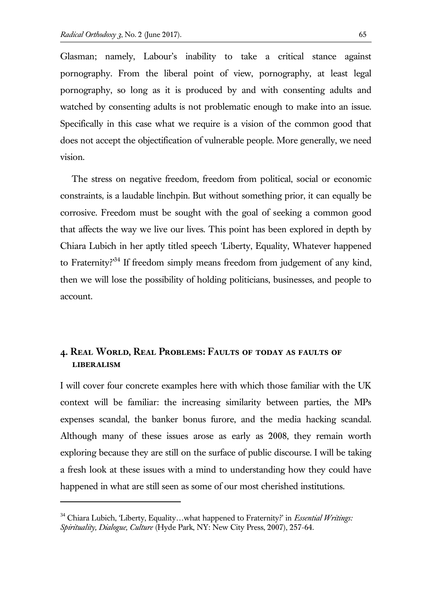Glasman; namely, Labour's inability to take a critical stance against pornography. From the liberal point of view, pornography, at least legal pornography, so long as it is produced by and with consenting adults and watched by consenting adults is not problematic enough to make into an issue. Specifically in this case what we require is a vision of the common good that does not accept the objectification of vulnerable people. More generally, we need vision.

The stress on negative freedom, freedom from political, social or economic constraints, is a laudable linchpin. But without something prior, it can equally be corrosive. Freedom must be sought with the goal of seeking a common good that affects the way we live our lives. This point has been explored in depth by Chiara Lubich in her aptly titled speech 'Liberty, Equality, Whatever happened to Fraternity?<sup>34</sup> If freedom simply means freedom from judgement of any kind, then we will lose the possibility of holding politicians, businesses, and people to account.

#### **4. Real World, Real Problems: Faults of today as faults of liberalism**

I will cover four concrete examples here with which those familiar with the UK context will be familiar: the increasing similarity between parties, the MPs expenses scandal, the banker bonus furore, and the media hacking scandal. Although many of these issues arose as early as 2008, they remain worth exploring because they are still on the surface of public discourse. I will be taking a fresh look at these issues with a mind to understanding how they could have happened in what are still seen as some of our most cherished institutions.

<sup>34</sup> Chiara Lubich, 'Liberty, Equality…what happened to Fraternity?' in *Essential Writings: Spirituality, Dialogue, Culture* (Hyde Park, NY: New City Press, 2007), 257-64.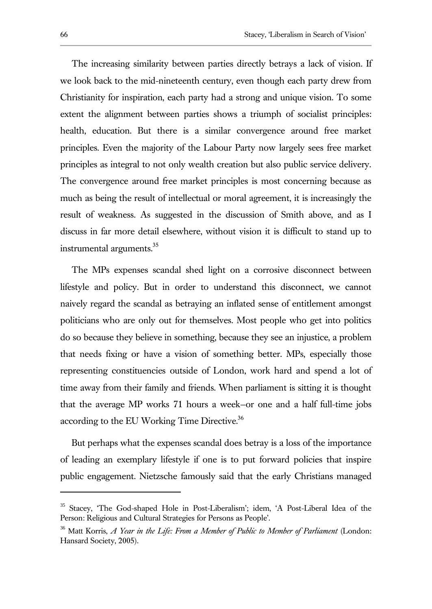The increasing similarity between parties directly betrays a lack of vision. If we look back to the mid-nineteenth century, even though each party drew from Christianity for inspiration, each party had a strong and unique vision. To some extent the alignment between parties shows a triumph of socialist principles: health, education. But there is a similar convergence around free market principles. Even the majority of the Labour Party now largely sees free market principles as integral to not only wealth creation but also public service delivery. The convergence around free market principles is most concerning because as much as being the result of intellectual or moral agreement, it is increasingly the result of weakness. As suggested in the discussion of Smith above, and as I discuss in far more detail elsewhere, without vision it is difficult to stand up to instrumental arguments.<sup>35</sup>

The MPs expenses scandal shed light on a corrosive disconnect between lifestyle and policy. But in order to understand this disconnect, we cannot naively regard the scandal as betraying an inflated sense of entitlement amongst politicians who are only out for themselves. Most people who get into politics do so because they believe in something, because they see an injustice, a problem that needs fixing or have a vision of something better. MPs, especially those representing constituencies outside of London, work hard and spend a lot of time away from their family and friends. When parliament is sitting it is thought that the average MP works 71 hours a week—or one and a half full-time jobs according to the EU Working Time Directive.<sup>36</sup>

But perhaps what the expenses scandal does betray is a loss of the importance of leading an exemplary lifestyle if one is to put forward policies that inspire public engagement. Nietzsche famously said that the early Christians managed

<sup>35</sup> Stacey, 'The God-shaped Hole in Post-Liberalism'; idem, 'A Post-Liberal Idea of the Person: Religious and Cultural Strategies for Persons as People'.

<sup>36</sup> Matt Korris, *A Year in the Life: From a Member of Public to Member of Parliament* (London: Hansard Society, 2005).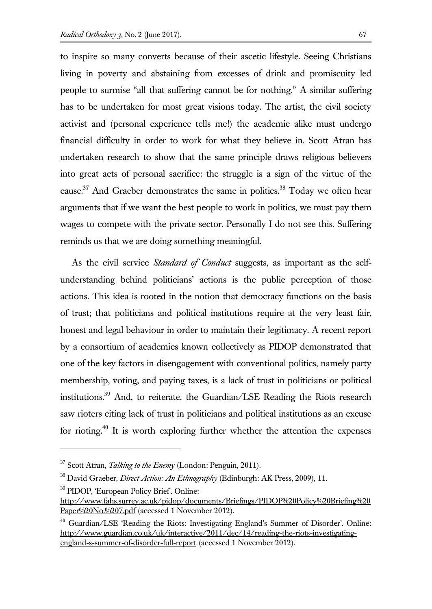to inspire so many converts because of their ascetic lifestyle. Seeing Christians living in poverty and abstaining from excesses of drink and promiscuity led people to surmise "all that suffering cannot be for nothing." A similar suffering has to be undertaken for most great visions today. The artist, the civil society activist and (personal experience tells me!) the academic alike must undergo financial difficulty in order to work for what they believe in. Scott Atran has undertaken research to show that the same principle draws religious believers into great acts of personal sacrifice: the struggle is a sign of the virtue of the cause.<sup>37</sup> And Graeber demonstrates the same in politics.<sup>38</sup> Today we often hear arguments that if we want the best people to work in politics, we must pay them wages to compete with the private sector. Personally I do not see this. Suffering reminds us that we are doing something meaningful.

As the civil service *Standard of Conduct* suggests, as important as the selfunderstanding behind politicians' actions is the public perception of those actions. This idea is rooted in the notion that democracy functions on the basis of trust; that politicians and political institutions require at the very least fair, honest and legal behaviour in order to maintain their legitimacy. A recent report by a consortium of academics known collectively as PIDOP demonstrated that one of the key factors in disengagement with conventional politics, namely party membership, voting, and paying taxes, is a lack of trust in politicians or political institutions.<sup>39</sup> And, to reiterate, the Guardian/LSE Reading the Riots research saw rioters citing lack of trust in politicians and political institutions as an excuse for rioting.<sup>40</sup> It is worth exploring further whether the attention the expenses

<sup>&</sup>lt;sup>37</sup> Scott Atran, *Talking to the Enemy* (London: Penguin, 2011).

<sup>38</sup> David Graeber, *Direct Action: An Ethnography* (Edinburgh: AK Press, 2009), 11.

<sup>39</sup> PIDOP, 'European Policy Brief'. Online:

http://www.fahs.surrey.ac.uk/pidop/documents/Briefings/PIDOP%20Policy%20Briefing%20 Paper%20No.%207.pdf (accessed 1 November 2012).

<sup>&</sup>lt;sup>40</sup> Guardian/LSE 'Reading the Riots: Investigating England's Summer of Disorder'. Online: http://www.guardian.co.uk/uk/interactive/2011/dec/14/reading-the-riots-investigatingengland-s-summer-of-disorder-full-report (accessed 1 November 2012).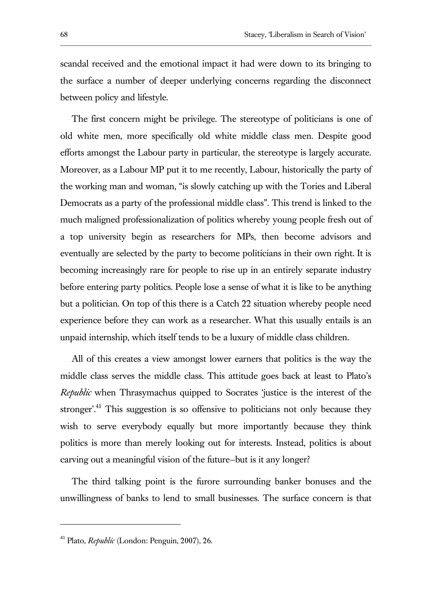scandal received and the emotional impact it had were down to its bringing to the surface a number of deeper underlying concerns regarding the disconnect between policy and lifestyle.

The first concern might be privilege. The stereotype of politicians is one of old white men, more specifically old white middle class men. Despite good efforts amongst the Labour party in particular, the stereotype is largely accurate. Moreover, as a Labour MP put it to me recently, Labour, historically the party of the working man and woman, "is slowly catching up with the Tories and Liberal Democrats as a party of the professional middle class". This trend is linked to the much maligned professionalization of politics whereby young people fresh out of a top university begin as researchers for MPs, then become advisors and eventually are selected by the party to become politicians in their own right. It is becoming increasingly rare for people to rise up in an entirely separate industry before entering party politics. People lose a sense of what it is like to be anything but a politician. On top of this there is a Catch 22 situation whereby people need experience before they can work as a researcher. What this usually entails is an unpaid internship, which itself tends to be a luxury of middle class children.

All of this creates a view amongst lower earners that politics is the way the middle class serves the middle class. This attitude goes back at least to Plato's *Republic* when Thrasymachus quipped to Socrates 'justice is the interest of the stronger'.<sup>41</sup> This suggestion is so offensive to politicians not only because they wish to serve everybody equally but more importantly because they think politics is more than merely looking out for interests. Instead, politics is about carving out a meaningful vision of the future—but is it any longer?

The third talking point is the furore surrounding banker bonuses and the unwillingness of banks to lend to small businesses. The surface concern is that

<sup>41</sup> Plato, *Republic* (London: Penguin, 2007), 26.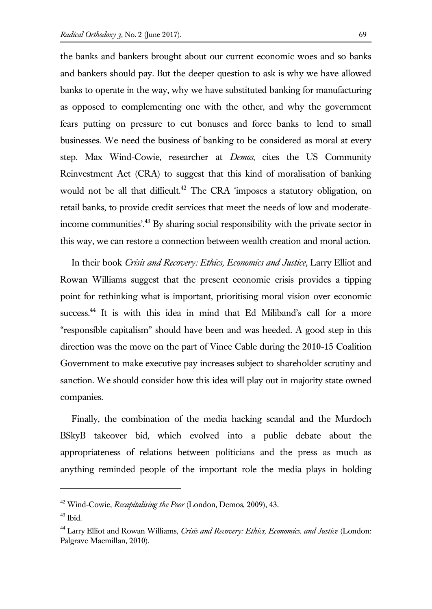the banks and bankers brought about our current economic woes and so banks and bankers should pay. But the deeper question to ask is why we have allowed banks to operate in the way, why we have substituted banking for manufacturing as opposed to complementing one with the other, and why the government fears putting on pressure to cut bonuses and force banks to lend to small businesses. We need the business of banking to be considered as moral at every step. Max Wind-Cowie, researcher at *Demos*, cites the US Community Reinvestment Act (CRA) to suggest that this kind of moralisation of banking would not be all that difficult.<sup>42</sup> The CRA 'imposes a statutory obligation, on retail banks, to provide credit services that meet the needs of low and moderateincome communities'.<sup>43</sup> By sharing social responsibility with the private sector in this way, we can restore a connection between wealth creation and moral action.

In their book *Crisis and Recovery: Ethics, Economics and Justice*, Larry Elliot and Rowan Williams suggest that the present economic crisis provides a tipping point for rethinking what is important, prioritising moral vision over economic success.<sup>44</sup> It is with this idea in mind that Ed Miliband's call for a more "responsible capitalism" should have been and was heeded. A good step in this direction was the move on the part of Vince Cable during the 2010-15 Coalition Government to make executive pay increases subject to shareholder scrutiny and sanction. We should consider how this idea will play out in majority state owned companies.

Finally, the combination of the media hacking scandal and the Murdoch BSkyB takeover bid, which evolved into a public debate about the appropriateness of relations between politicians and the press as much as anything reminded people of the important role the media plays in holding

<sup>42</sup> Wind-Cowie, *Recapitalising the Poor* (London, Demos, 2009), 43.

 $43$  Ibid.

<sup>44</sup> Larry Elliot and Rowan Williams, *Crisis and Recovery: Ethics, Economics, and Justice* (London: Palgrave Macmillan, 2010).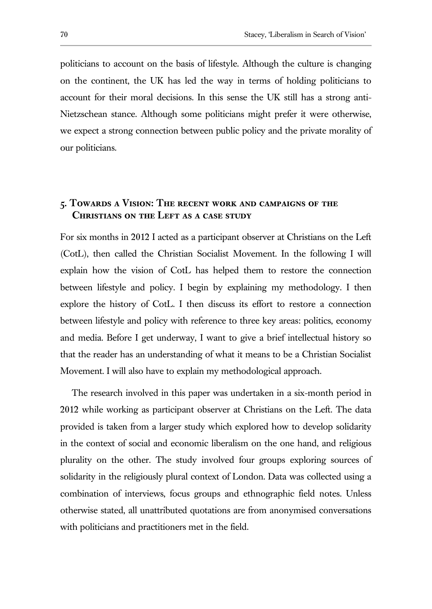politicians to account on the basis of lifestyle. Although the culture is changing on the continent, the UK has led the way in terms of holding politicians to account for their moral decisions. In this sense the UK still has a strong anti-Nietzschean stance. Although some politicians might prefer it were otherwise, we expect a strong connection between public policy and the private morality of our politicians.

## **5. Towards a Vision: The recent work and campaigns of the Christians on the Left as a case study**

For six months in 2012 I acted as a participant observer at Christians on the Left (CotL), then called the Christian Socialist Movement. In the following I will explain how the vision of CotL has helped them to restore the connection between lifestyle and policy. I begin by explaining my methodology. I then explore the history of CotL. I then discuss its effort to restore a connection between lifestyle and policy with reference to three key areas: politics, economy and media. Before I get underway, I want to give a brief intellectual history so that the reader has an understanding of what it means to be a Christian Socialist Movement. I will also have to explain my methodological approach.

The research involved in this paper was undertaken in a six-month period in 2012 while working as participant observer at Christians on the Left. The data provided is taken from a larger study which explored how to develop solidarity in the context of social and economic liberalism on the one hand, and religious plurality on the other. The study involved four groups exploring sources of solidarity in the religiously plural context of London. Data was collected using a combination of interviews, focus groups and ethnographic field notes. Unless otherwise stated, all unattributed quotations are from anonymised conversations with politicians and practitioners met in the field.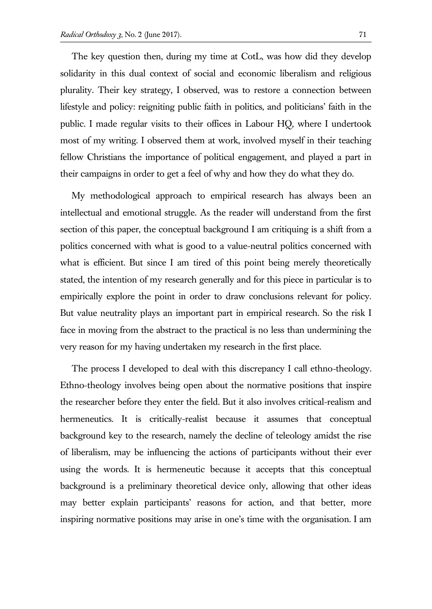The key question then, during my time at CotL, was how did they develop solidarity in this dual context of social and economic liberalism and religious plurality. Their key strategy, I observed, was to restore a connection between lifestyle and policy: reigniting public faith in politics, and politicians' faith in the public. I made regular visits to their offices in Labour HQ, where I undertook most of my writing. I observed them at work, involved myself in their teaching fellow Christians the importance of political engagement, and played a part in their campaigns in order to get a feel of why and how they do what they do.

My methodological approach to empirical research has always been an intellectual and emotional struggle. As the reader will understand from the first section of this paper, the conceptual background I am critiquing is a shift from a politics concerned with what is good to a value-neutral politics concerned with what is efficient. But since I am tired of this point being merely theoretically stated, the intention of my research generally and for this piece in particular is to empirically explore the point in order to draw conclusions relevant for policy. But value neutrality plays an important part in empirical research. So the risk I face in moving from the abstract to the practical is no less than undermining the very reason for my having undertaken my research in the first place.

The process I developed to deal with this discrepancy I call ethno-theology. Ethno-theology involves being open about the normative positions that inspire the researcher before they enter the field. But it also involves critical-realism and hermeneutics. It is critically-realist because it assumes that conceptual background key to the research, namely the decline of teleology amidst the rise of liberalism, may be influencing the actions of participants without their ever using the words. It is hermeneutic because it accepts that this conceptual background is a preliminary theoretical device only, allowing that other ideas may better explain participants' reasons for action, and that better, more inspiring normative positions may arise in one's time with the organisation. I am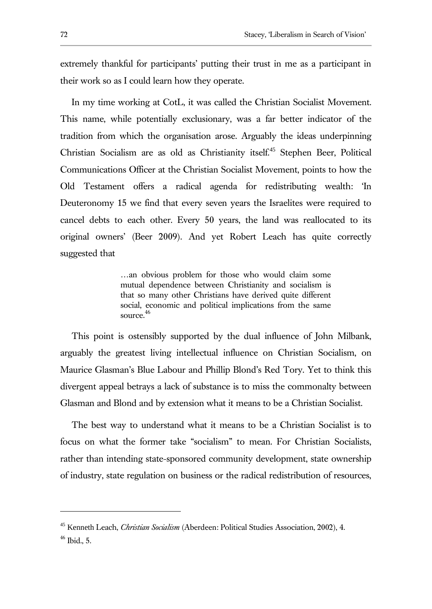extremely thankful for participants' putting their trust in me as a participant in their work so as I could learn how they operate.

In my time working at CotL, it was called the Christian Socialist Movement. This name, while potentially exclusionary, was a far better indicator of the tradition from which the organisation arose. Arguably the ideas underpinning Christian Socialism are as old as Christianity itself.<sup>45</sup> Stephen Beer, Political Communications Officer at the Christian Socialist Movement, points to how the Old Testament offers a radical agenda for redistributing wealth: 'In Deuteronomy 15 we find that every seven years the Israelites were required to cancel debts to each other. Every 50 years, the land was reallocated to its original owners' (Beer 2009). And yet Robert Leach has quite correctly suggested that

> …an obvious problem for those who would claim some mutual dependence between Christianity and socialism is that so many other Christians have derived quite different social, economic and political implications from the same source. 46

This point is ostensibly supported by the dual influence of John Milbank, arguably the greatest living intellectual influence on Christian Socialism, on Maurice Glasman's Blue Labour and Phillip Blond's Red Tory. Yet to think this divergent appeal betrays a lack of substance is to miss the commonalty between Glasman and Blond and by extension what it means to be a Christian Socialist.

The best way to understand what it means to be a Christian Socialist is to focus on what the former take "socialism" to mean. For Christian Socialists, rather than intending state-sponsored community development, state ownership of industry, state regulation on business or the radical redistribution of resources,

<sup>45</sup> Kenneth Leach, *Christian Socialism* (Aberdeen: Political Studies Association, 2002), 4.

 $46$  Ibid., 5.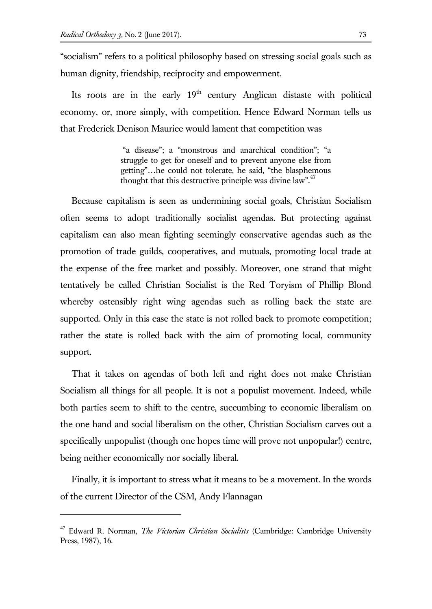$\overline{a}$ 

"socialism" refers to a political philosophy based on stressing social goals such as human dignity, friendship, reciprocity and empowerment.

Its roots are in the early  $19<sup>th</sup>$  century Anglican distaste with political economy, or, more simply, with competition. Hence Edward Norman tells us that Frederick Denison Maurice would lament that competition was

> "a disease"; a "monstrous and anarchical condition"; "a struggle to get for oneself and to prevent anyone else from getting"…he could not tolerate, he said, "the blasphemous thought that this destructive principle was divine law". $47$

Because capitalism is seen as undermining social goals, Christian Socialism often seems to adopt traditionally socialist agendas. But protecting against capitalism can also mean fighting seemingly conservative agendas such as the promotion of trade guilds, cooperatives, and mutuals, promoting local trade at the expense of the free market and possibly. Moreover, one strand that might tentatively be called Christian Socialist is the Red Toryism of Phillip Blond whereby ostensibly right wing agendas such as rolling back the state are supported. Only in this case the state is not rolled back to promote competition; rather the state is rolled back with the aim of promoting local, community support.

That it takes on agendas of both left and right does not make Christian Socialism all things for all people. It is not a populist movement. Indeed, while both parties seem to shift to the centre, succumbing to economic liberalism on the one hand and social liberalism on the other, Christian Socialism carves out a specifically unpopulist (though one hopes time will prove not unpopular!) centre, being neither economically nor socially liberal.

Finally, it is important to stress what it means to be a movement. In the words of the current Director of the CSM, Andy Flannagan

<sup>47</sup> Edward R. Norman, *The Victorian Christian Socialists* (Cambridge: Cambridge University Press, 1987), 16.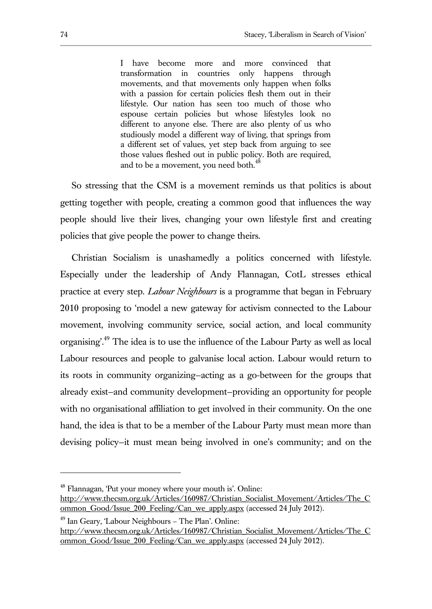I have become more and more convinced that transformation in countries only happens through movements, and that movements only happen when folks with a passion for certain policies flesh them out in their lifestyle. Our nation has seen too much of those who espouse certain policies but whose lifestyles look no different to anyone else. There are also plenty of us who studiously model a different way of living, that springs from a different set of values, yet step back from arguing to see those values fleshed out in public policy. Both are required, and to be a movement, you need both.<sup>48</sup>

So stressing that the CSM is a movement reminds us that politics is about getting together with people, creating a common good that influences the way people should live their lives, changing your own lifestyle first and creating policies that give people the power to change theirs.

Christian Socialism is unashamedly a politics concerned with lifestyle. Especially under the leadership of Andy Flannagan, CotL stresses ethical practice at every step. *Labour Neighbours* is a programme that began in February 2010 proposing to 'model a new gateway for activism connected to the Labour movement, involving community service, social action, and local community organising'.<sup>49</sup> The idea is to use the influence of the Labour Party as well as local Labour resources and people to galvanise local action. Labour would return to its roots in community organizing—acting as a go-between for the groups that already exist—and community development—providing an opportunity for people with no organisational affiliation to get involved in their community. On the one hand, the idea is that to be a member of the Labour Party must mean more than devising policy—it must mean being involved in one's community; and on the

 $48$  Flannagan, 'Put your money where your mouth is'. Online:

http://www.thecsm.org.uk/Articles/160987/Christian\_Socialist\_Movement/Articles/The\_C ommon\_Good/Issue\_200\_Feeling/Can\_we\_apply.aspx (accessed 24 July 2012).

<sup>49</sup> Ian Geary, 'Labour Neighbours – The Plan'. Online:

http://www.thecsm.org.uk/Articles/160987/Christian\_Socialist\_Movement/Articles/The\_C ommon\_Good/Issue\_200\_Feeling/Can\_we\_apply.aspx (accessed 24 July 2012).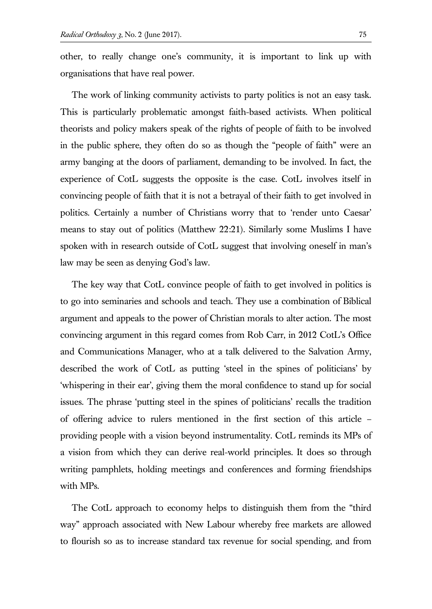other, to really change one's community, it is important to link up with organisations that have real power.

The work of linking community activists to party politics is not an easy task. This is particularly problematic amongst faith-based activists. When political theorists and policy makers speak of the rights of people of faith to be involved in the public sphere, they often do so as though the "people of faith" were an army banging at the doors of parliament, demanding to be involved. In fact, the experience of CotL suggests the opposite is the case. CotL involves itself in convincing people of faith that it is not a betrayal of their faith to get involved in politics. Certainly a number of Christians worry that to 'render unto Caesar' means to stay out of politics (Matthew 22:21). Similarly some Muslims I have spoken with in research outside of CotL suggest that involving oneself in man's law may be seen as denying God's law.

The key way that CotL convince people of faith to get involved in politics is to go into seminaries and schools and teach. They use a combination of Biblical argument and appeals to the power of Christian morals to alter action. The most convincing argument in this regard comes from Rob Carr, in 2012 CotL's Office and Communications Manager, who at a talk delivered to the Salvation Army, described the work of CotL as putting 'steel in the spines of politicians' by 'whispering in their ear', giving them the moral confidence to stand up for social issues. The phrase 'putting steel in the spines of politicians' recalls the tradition of offering advice to rulers mentioned in the first section of this article – providing people with a vision beyond instrumentality. CotL reminds its MPs of a vision from which they can derive real-world principles. It does so through writing pamphlets, holding meetings and conferences and forming friendships with MPs.

The CotL approach to economy helps to distinguish them from the "third way" approach associated with New Labour whereby free markets are allowed to flourish so as to increase standard tax revenue for social spending, and from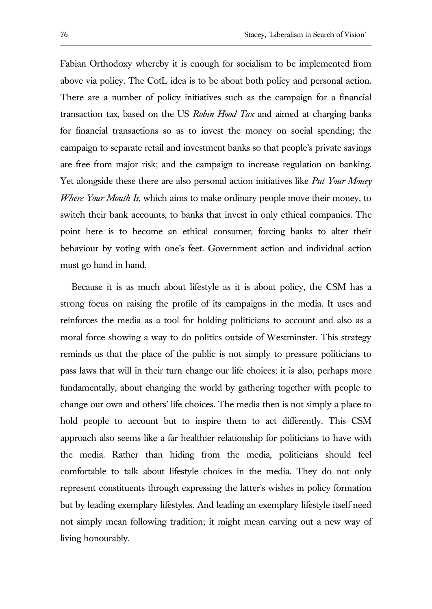Fabian Orthodoxy whereby it is enough for socialism to be implemented from above via policy. The CotL idea is to be about both policy and personal action. There are a number of policy initiatives such as the campaign for a financial transaction tax, based on the US *Robin Hood Tax* and aimed at charging banks for financial transactions so as to invest the money on social spending; the campaign to separate retail and investment banks so that people's private savings are free from major risk; and the campaign to increase regulation on banking. Yet alongside these there are also personal action initiatives like *Put Your Money Where Your Mouth Is*, which aims to make ordinary people move their money, to switch their bank accounts, to banks that invest in only ethical companies. The point here is to become an ethical consumer, forcing banks to alter their behaviour by voting with one's feet. Government action and individual action must go hand in hand.

Because it is as much about lifestyle as it is about policy, the CSM has a strong focus on raising the profile of its campaigns in the media. It uses and reinforces the media as a tool for holding politicians to account and also as a moral force showing a way to do politics outside of Westminster. This strategy reminds us that the place of the public is not simply to pressure politicians to pass laws that will in their turn change our life choices; it is also, perhaps more fundamentally, about changing the world by gathering together with people to change our own and others' life choices. The media then is not simply a place to hold people to account but to inspire them to act differently. This CSM approach also seems like a far healthier relationship for politicians to have with the media. Rather than hiding from the media, politicians should feel comfortable to talk about lifestyle choices in the media. They do not only represent constituents through expressing the latter's wishes in policy formation but by leading exemplary lifestyles. And leading an exemplary lifestyle itself need not simply mean following tradition; it might mean carving out a new way of living honourably.